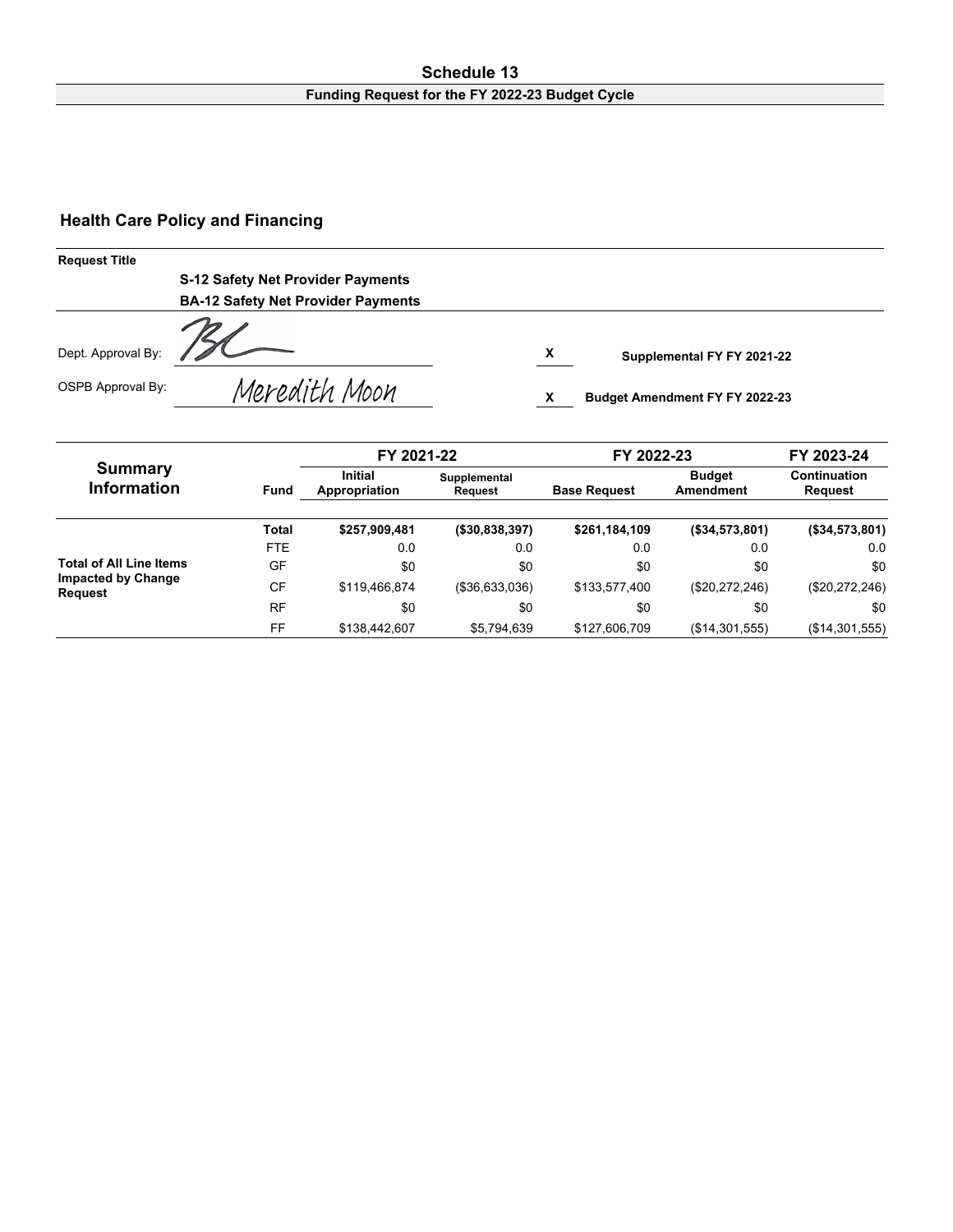#### **Schedule 13 Funding Request for the FY 2022-23 Budget Cycle**

# **Health Care Policy and Financing**

| <b>Request Title</b> |                                           |   |                                       |
|----------------------|-------------------------------------------|---|---------------------------------------|
|                      | <b>S-12 Safety Net Provider Payments</b>  |   |                                       |
|                      | <b>BA-12 Safety Net Provider Payments</b> |   |                                       |
| Dept. Approval By:   |                                           | X | Supplemental FY FY 2021-22            |
| OSPB Approval By:    | Meredith Moon                             |   | <b>Budget Amendment FY FY 2022-23</b> |

|                                             |            | FY 2021-22                      |                         | FY 2022-23          | FY 2023-24                 |                                |  |
|---------------------------------------------|------------|---------------------------------|-------------------------|---------------------|----------------------------|--------------------------------|--|
| <b>Summary</b><br><b>Information</b>        | Fund       | <b>Initial</b><br>Appropriation | Supplemental<br>Request | <b>Base Request</b> | <b>Budget</b><br>Amendment | Continuation<br><b>Request</b> |  |
|                                             | Total      | \$257,909,481                   | ( \$30, 838, 397)       | \$261,184,109       | (\$34,573,801)             | (\$34,573,801)                 |  |
|                                             | <b>FTE</b> | 0.0                             | 0.0                     | 0.0                 | 0.0                        | 0.0                            |  |
| <b>Total of All Line Items</b>              | GF         | \$0                             | \$0                     | \$0                 | \$0                        | \$0                            |  |
| <b>Impacted by Change</b><br><b>Request</b> | CF         | \$119,466,874                   | ( \$36, 633, 036)       | \$133,577,400       | (\$20,272,246)             | (\$20,272,246)                 |  |
|                                             | <b>RF</b>  | \$0                             | \$0                     | \$0                 | \$0                        | \$0                            |  |
|                                             | FF         | \$138,442,607                   | \$5,794,639             | \$127,606,709       | (\$14,301,555)             | (\$14,301,555)                 |  |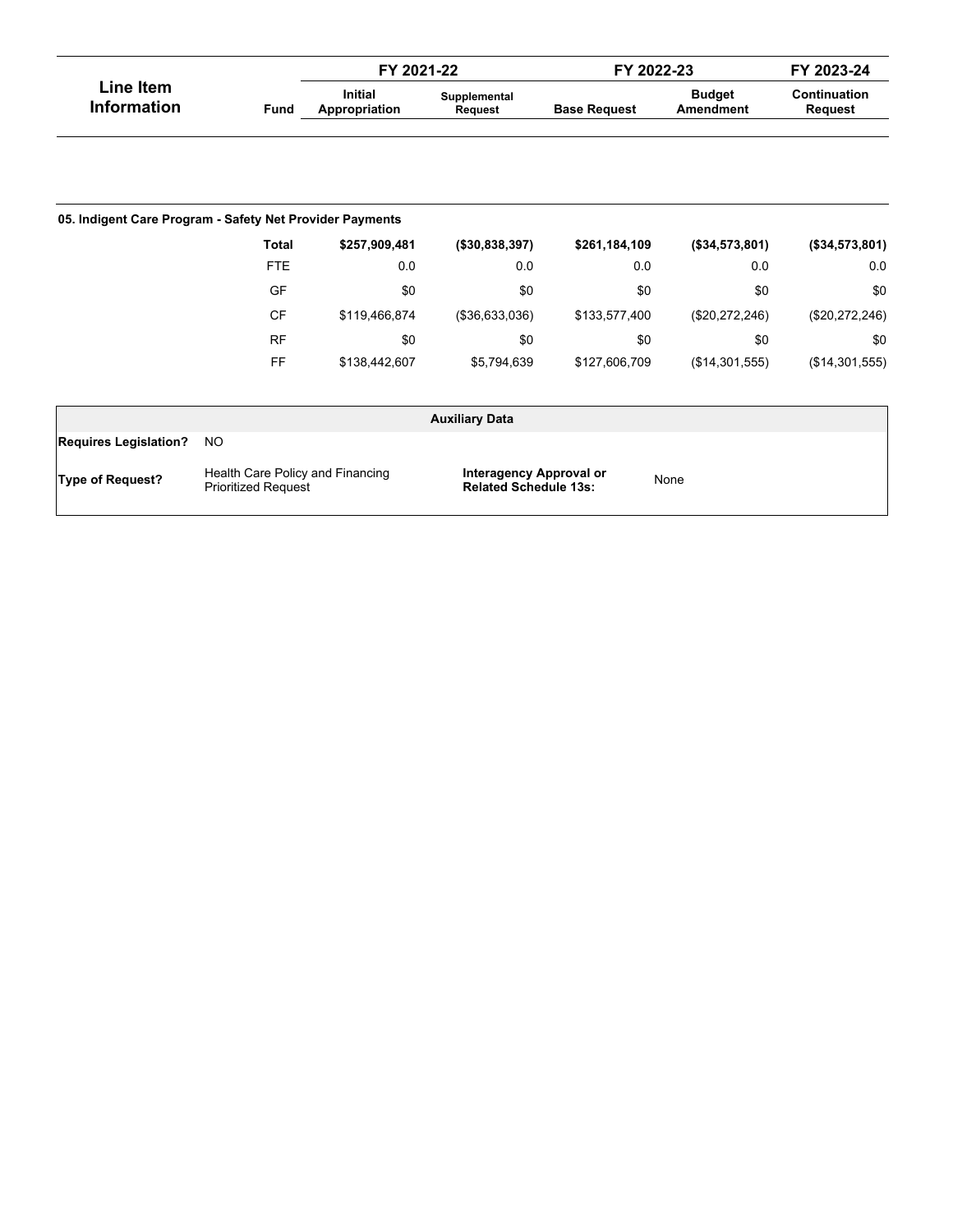|                                                          |                                                                | FY 2021-22                      |                         | FY 2022-23                                                             | FY 2023-24                        |                         |  |  |
|----------------------------------------------------------|----------------------------------------------------------------|---------------------------------|-------------------------|------------------------------------------------------------------------|-----------------------------------|-------------------------|--|--|
| <b>Line Item</b><br><b>Information</b>                   | Fund                                                           | <b>Initial</b><br>Appropriation | Supplemental<br>Request | <b>Base Request</b>                                                    | <b>Budget</b><br><b>Amendment</b> | Continuation<br>Request |  |  |
|                                                          |                                                                |                                 |                         |                                                                        |                                   |                         |  |  |
| 05. Indigent Care Program - Safety Net Provider Payments |                                                                |                                 |                         |                                                                        |                                   |                         |  |  |
|                                                          | <b>Total</b>                                                   | \$257,909,481                   | (\$30,838,397)          | \$261,184,109                                                          | (\$34,573,801)                    | (\$34,573,801)          |  |  |
|                                                          | <b>FTE</b>                                                     | 0.0                             | 0.0                     | 0.0                                                                    | 0.0                               | 0.0                     |  |  |
|                                                          | GF                                                             | \$0                             | \$0                     | \$0                                                                    | \$0                               | \$0                     |  |  |
|                                                          | <b>CF</b>                                                      | \$119,466,874                   | (\$36,633,036)          | \$133,577,400                                                          | (\$20,272,246)                    | (\$20,272,246)          |  |  |
|                                                          | <b>RF</b>                                                      | \$0                             | \$0                     | \$0                                                                    | \$0                               | \$0                     |  |  |
|                                                          | FF                                                             | \$138,442,607                   | \$5,794,639             | \$127,606,709                                                          | (\$14,301,555)                    | (\$14,301,555)          |  |  |
|                                                          |                                                                |                                 | <b>Auxiliary Data</b>   |                                                                        |                                   |                         |  |  |
| <b>Requires Legislation?</b>                             | <b>NO</b>                                                      |                                 |                         |                                                                        |                                   |                         |  |  |
| <b>Type of Request?</b>                                  | Health Care Policy and Financing<br><b>Prioritized Request</b> |                                 |                         | <b>Interagency Approval or</b><br>None<br><b>Related Schedule 13s:</b> |                                   |                         |  |  |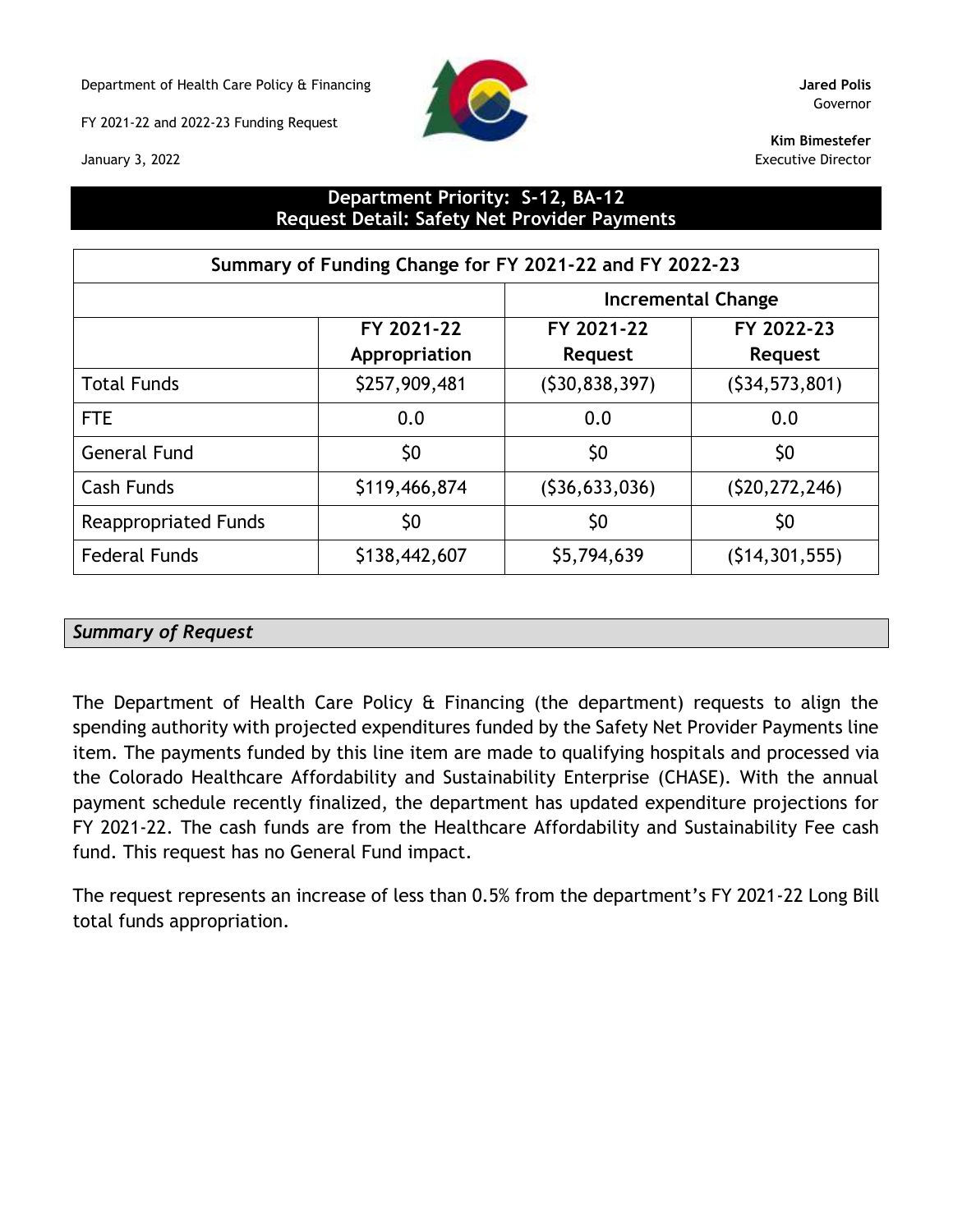Department of Health Care Policy & Financing **Jared Polis**

FY 2021-22 and 2022-23 Funding Request

January 3, 2022



Governor

**Kim Bimestefer** Executive Director

## **Department Priority: S-12, BA-12 Request Detail: Safety Net Provider Payments**

| Summary of Funding Change for FY 2021-22 and FY 2022-23 |               |                           |                 |  |  |  |  |  |  |
|---------------------------------------------------------|---------------|---------------------------|-----------------|--|--|--|--|--|--|
|                                                         |               | <b>Incremental Change</b> |                 |  |  |  |  |  |  |
|                                                         | FY 2021-22    | FY 2021-22                | FY 2022-23      |  |  |  |  |  |  |
|                                                         | Appropriation | <b>Request</b>            | <b>Request</b>  |  |  |  |  |  |  |
| <b>Total Funds</b>                                      | \$257,909,481 | (530, 838, 397)           | (534, 573, 801) |  |  |  |  |  |  |
| <b>FTE</b>                                              | 0.0           | 0.0                       | 0.0             |  |  |  |  |  |  |
| <b>General Fund</b>                                     | \$0           | \$0                       | \$0             |  |  |  |  |  |  |
| Cash Funds                                              | \$119,466,874 | (536, 633, 036)           | (520, 272, 246) |  |  |  |  |  |  |
| <b>Reappropriated Funds</b>                             | \$0           | \$0                       | \$0             |  |  |  |  |  |  |
| <b>Federal Funds</b>                                    | \$138,442,607 | \$5,794,639               | (514, 301, 555) |  |  |  |  |  |  |

## *Summary of Request*

The Department of Health Care Policy & Financing (the department) requests to align the spending authority with projected expenditures funded by the Safety Net Provider Payments line item. The payments funded by this line item are made to qualifying hospitals and processed via the Colorado Healthcare Affordability and Sustainability Enterprise (CHASE). With the annual payment schedule recently finalized, the department has updated expenditure projections for FY 2021-22. The cash funds are from the Healthcare Affordability and Sustainability Fee cash fund. This request has no General Fund impact.

The request represents an increase of less than 0.5% from the department's FY 2021-22 Long Bill total funds appropriation.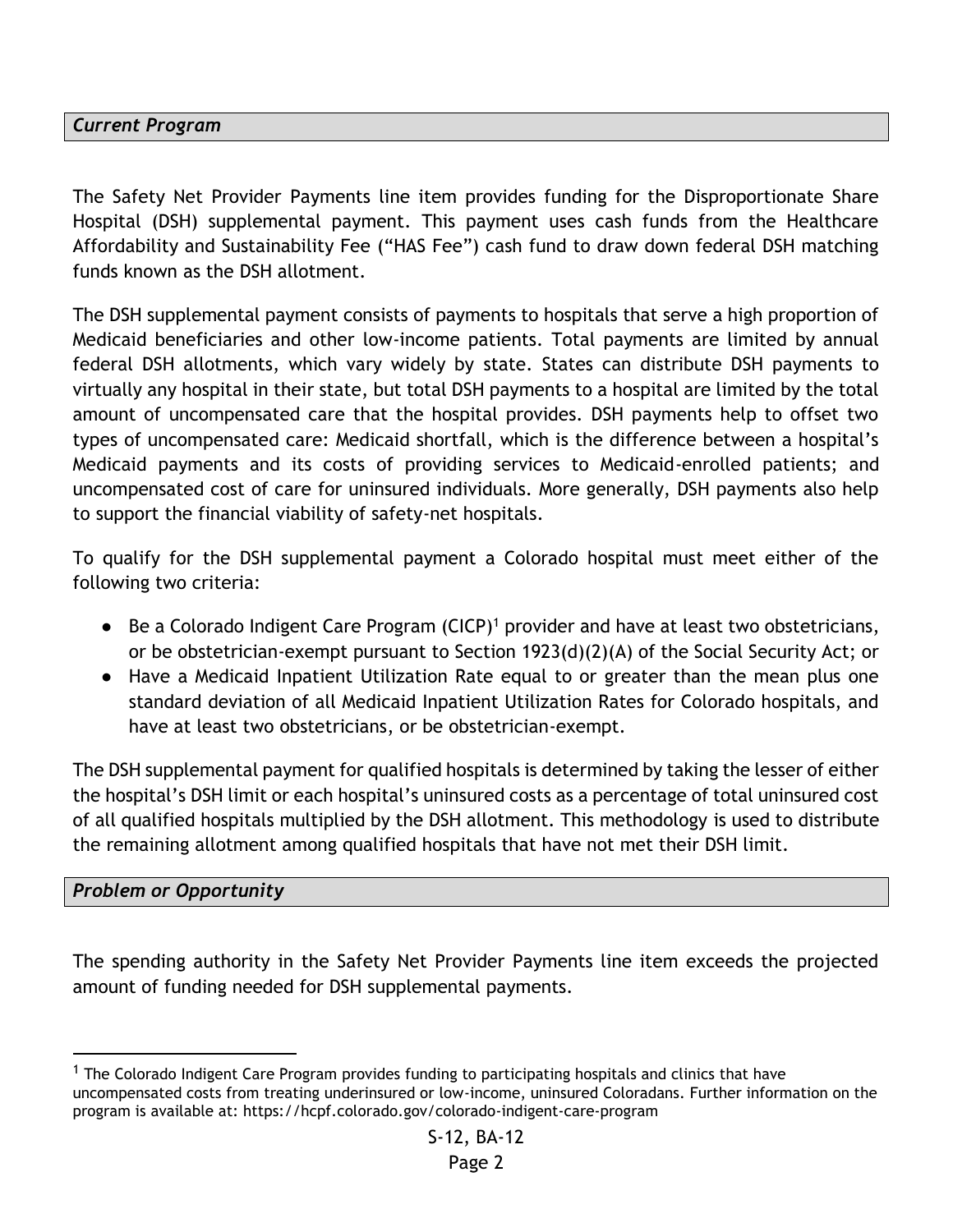# *Current Program*

The Safety Net Provider Payments line item provides funding for the Disproportionate Share Hospital (DSH) supplemental payment. This payment uses cash funds from the Healthcare Affordability and Sustainability Fee ("HAS Fee") cash fund to draw down federal DSH matching funds known as the DSH allotment.

The DSH supplemental payment consists of payments to hospitals that serve a high proportion of Medicaid beneficiaries and other low-income patients. Total payments are limited by annual federal DSH allotments, which vary widely by state. States can distribute DSH payments to virtually any hospital in their state, but total DSH payments to a hospital are limited by the total amount of uncompensated care that the hospital provides. DSH payments help to offset two types of uncompensated care: Medicaid shortfall, which is the difference between a hospital's Medicaid payments and its costs of providing services to Medicaid-enrolled patients; and uncompensated cost of care for uninsured individuals. More generally, DSH payments also help to support the financial viability of safety-net hospitals.

To qualify for the DSH supplemental payment a Colorado hospital must meet either of the following two criteria:

- $\bullet$  Be a Colorado Indigent Care Program (CICP)<sup>1</sup> provider and have at least two obstetricians, or be obstetrician-exempt pursuant to Section 1923(d)(2)(A) of the Social Security Act; or
- Have a Medicaid Inpatient Utilization Rate equal to or greater than the mean plus one standard deviation of all Medicaid Inpatient Utilization Rates for Colorado hospitals, and have at least two obstetricians, or be obstetrician-exempt.

The DSH supplemental payment for qualified hospitals is determined by taking the lesser of either the hospital's DSH limit or each hospital's uninsured costs as a percentage of total uninsured cost of all qualified hospitals multiplied by the DSH allotment. This methodology is used to distribute the remaining allotment among qualified hospitals that have not met their DSH limit.

## *Problem or Opportunity*

The spending authority in the Safety Net Provider Payments line item exceeds the projected amount of funding needed for DSH supplemental payments.

<sup>&</sup>lt;sup>1</sup> The Colorado Indigent Care Program provides funding to participating hospitals and clinics that have uncompensated costs from treating underinsured or low-income, uninsured Coloradans. Further information on the program is available at: https://hcpf.colorado.gov/colorado-indigent-care-program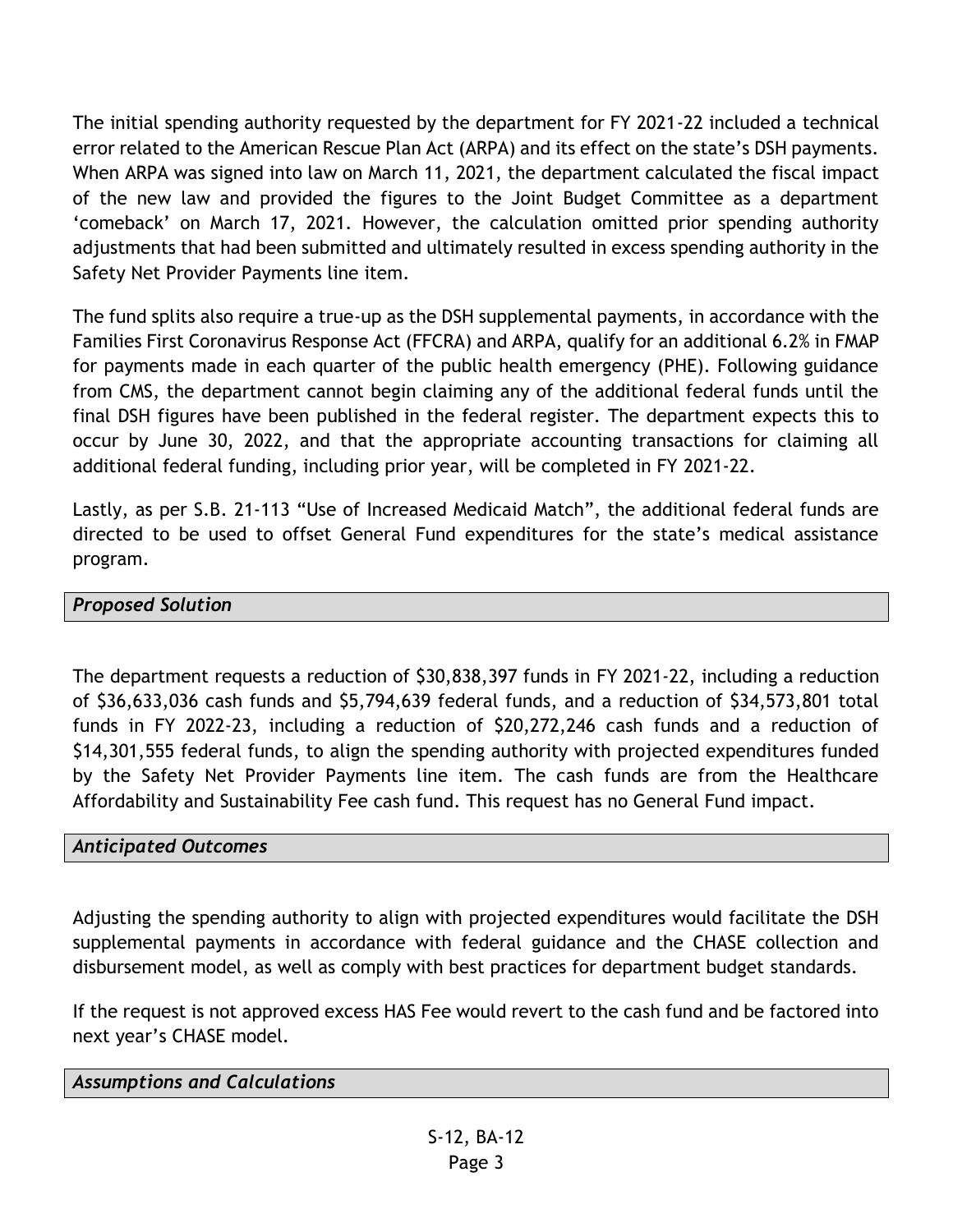The initial spending authority requested by the department for FY 2021-22 included a technical error related to the American Rescue Plan Act (ARPA) and its effect on the state's DSH payments. When ARPA was signed into law on March 11, 2021, the department calculated the fiscal impact of the new law and provided the figures to the Joint Budget Committee as a department 'comeback' on March 17, 2021. However, the calculation omitted prior spending authority adjustments that had been submitted and ultimately resulted in excess spending authority in the Safety Net Provider Payments line item.

The fund splits also require a true-up as the DSH supplemental payments, in accordance with the Families First Coronavirus Response Act (FFCRA) and ARPA, qualify for an additional 6.2% in FMAP for payments made in each quarter of the public health emergency (PHE). Following guidance from CMS, the department cannot begin claiming any of the additional federal funds until the final DSH figures have been published in the federal register. The department expects this to occur by June 30, 2022, and that the appropriate accounting transactions for claiming all additional federal funding, including prior year, will be completed in FY 2021-22.

Lastly, as per S.B. 21-113 "Use of Increased Medicaid Match", the additional federal funds are directed to be used to offset General Fund expenditures for the state's medical assistance program.

# *Proposed Solution*

The department requests a reduction of \$30,838,397 funds in FY 2021-22, including a reduction of \$36,633,036 cash funds and \$5,794,639 federal funds, and a reduction of \$34,573,801 total funds in FY 2022-23, including a reduction of \$20,272,246 cash funds and a reduction of \$14,301,555 federal funds, to align the spending authority with projected expenditures funded by the Safety Net Provider Payments line item. The cash funds are from the Healthcare Affordability and Sustainability Fee cash fund. This request has no General Fund impact.

## *Anticipated Outcomes*

Adjusting the spending authority to align with projected expenditures would facilitate the DSH supplemental payments in accordance with federal guidance and the CHASE collection and disbursement model, as well as comply with best practices for department budget standards.

If the request is not approved excess HAS Fee would revert to the cash fund and be factored into next year's CHASE model.

*Assumptions and Calculations*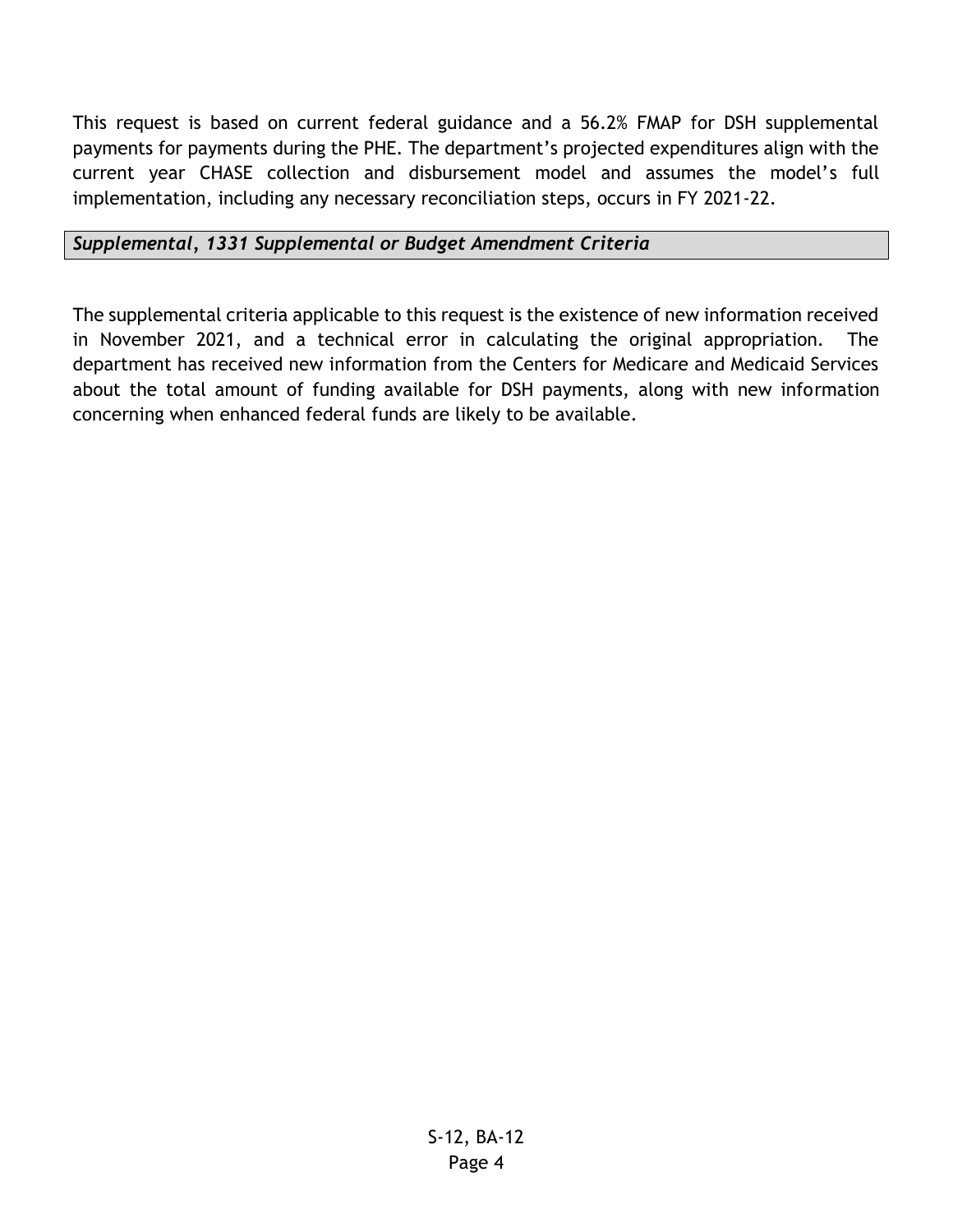This request is based on current federal guidance and a 56.2% FMAP for DSH supplemental payments for payments during the PHE. The department's projected expenditures align with the current year CHASE collection and disbursement model and assumes the model's full implementation, including any necessary reconciliation steps, occurs in FY 2021-22.

# *Supplemental, 1331 Supplemental or Budget Amendment Criteria*

The supplemental criteria applicable to this request is the existence of new information received in November 2021, and a technical error in calculating the original appropriation. The department has received new information from the Centers for Medicare and Medicaid Services about the total amount of funding available for DSH payments, along with new information concerning when enhanced federal funds are likely to be available.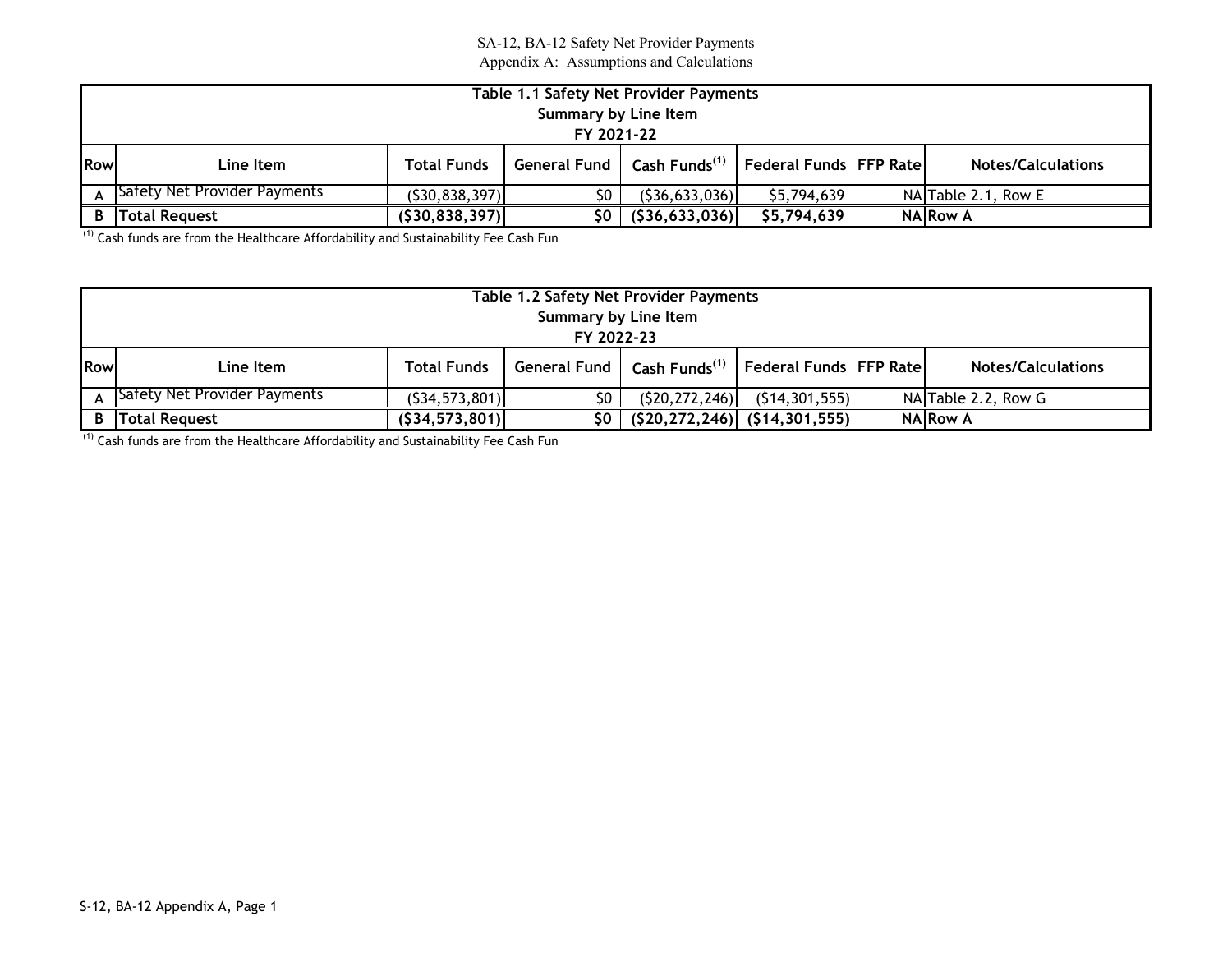#### SA-12, BA-12 Safety Net Provider Payments Appendix A: Assumptions and Calculations

|             | Table 1.1 Safety Net Provider Payments |                    |                       |                           |                                 |  |                           |  |  |  |  |
|-------------|----------------------------------------|--------------------|-----------------------|---------------------------|---------------------------------|--|---------------------------|--|--|--|--|
|             | Summary by Line Item                   |                    |                       |                           |                                 |  |                           |  |  |  |  |
|             | FY 2021-22                             |                    |                       |                           |                                 |  |                           |  |  |  |  |
| <b>IRow</b> | Line Item                              | <b>Total Funds</b> | <b>General Fund I</b> | Cash Funds <sup>(1)</sup> | <b>Federal Funds   FFP Rate</b> |  | <b>Notes/Calculations</b> |  |  |  |  |
|             | Safety Net Provider Payments           | (530, 838, 397)    |                       | (536, 633, 036)           | \$5,794,639                     |  | NA Table 2.1, Row E       |  |  |  |  |
| B           | <b>Total Request</b>                   | (530, 838, 397)    | SO I                  | (536, 633, 036)           | \$5,794,639                     |  | <b>NA Row A</b>           |  |  |  |  |

(1) Cash funds are from the Healthcare Affordability and Sustainability Fee Cash Fun

|     | Table 1.2 Safety Net Provider Payments<br>Summary by Line Item<br>FY 2022-23                                                           |                 |     |                 |                 |  |                     |  |  |  |  |
|-----|----------------------------------------------------------------------------------------------------------------------------------------|-----------------|-----|-----------------|-----------------|--|---------------------|--|--|--|--|
| Row | Federal Funds   FFP Rate <br>Cash Funds <sup>(1)</sup><br><b>Notes/Calculations</b><br>General Fund<br><b>Total Funds</b><br>Line Item |                 |     |                 |                 |  |                     |  |  |  |  |
|     | Safety Net Provider Payments                                                                                                           | (534, 573, 801) | \$0 | (520, 272, 246) | (514, 301, 555) |  | NA Table 2.2, Row G |  |  |  |  |
|     | (534, 573, 801)<br>$(S20, 272, 246)$ $(S14, 301, 555)$<br><b>NA Row A</b><br>\$0<br><b>Total Request</b>                               |                 |     |                 |                 |  |                     |  |  |  |  |

(1) Cash funds are from the Healthcare Affordability and Sustainability Fee Cash Fun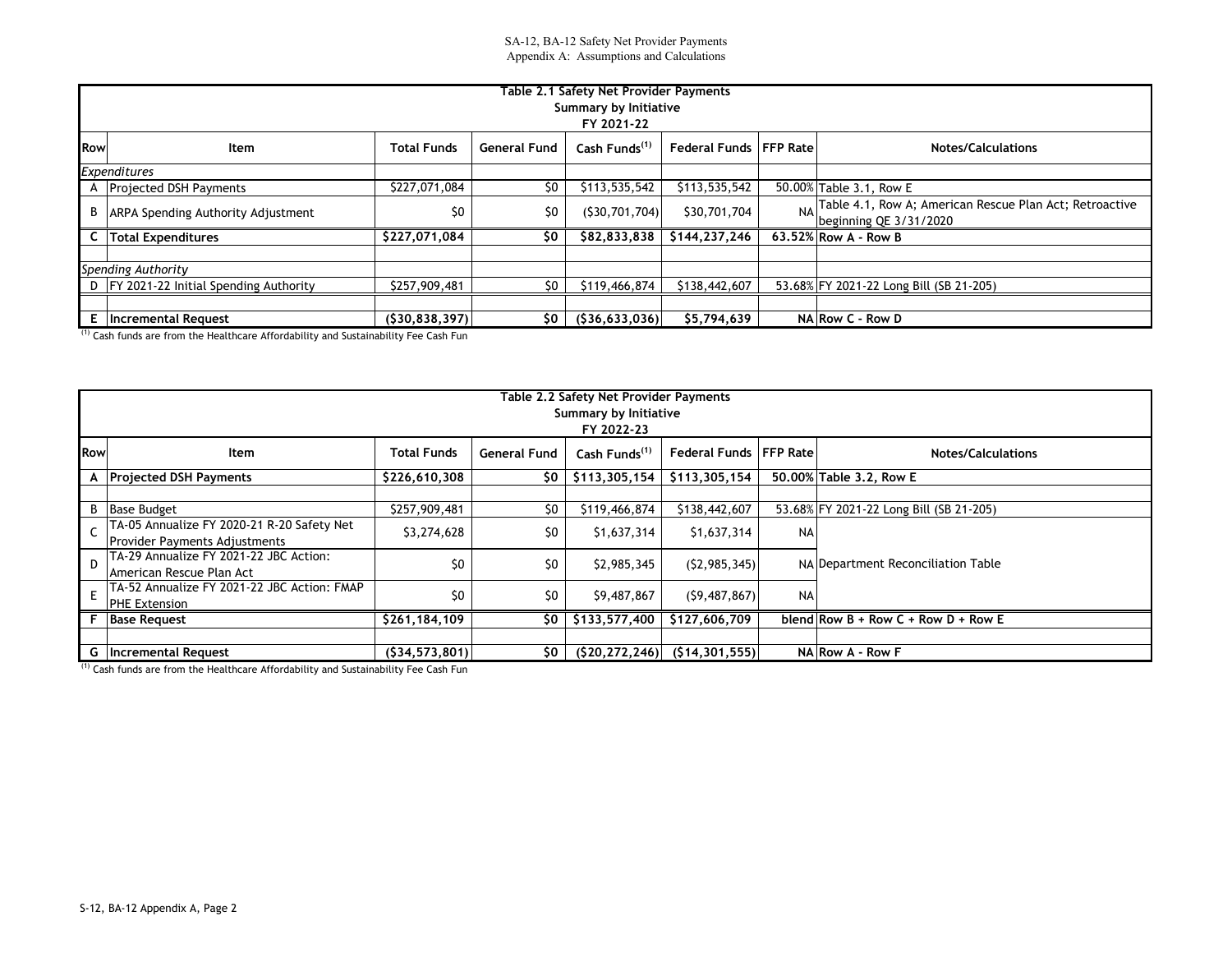|            | Table 2.1 Safety Net Provider Payments<br><b>Summary by Initiative</b> |                    |                     |                           |                                 |           |                                                                                   |  |  |  |  |  |
|------------|------------------------------------------------------------------------|--------------------|---------------------|---------------------------|---------------------------------|-----------|-----------------------------------------------------------------------------------|--|--|--|--|--|
|            | FY 2021-22                                                             |                    |                     |                           |                                 |           |                                                                                   |  |  |  |  |  |
| <b>Row</b> | <b>Item</b>                                                            | <b>Total Funds</b> | <b>General Fund</b> | Cash Funds <sup>(1)</sup> | <b>Federal Funds IFFP Ratel</b> |           | <b>Notes/Calculations</b>                                                         |  |  |  |  |  |
|            | <b>Expenditures</b>                                                    |                    |                     |                           |                                 |           |                                                                                   |  |  |  |  |  |
|            | A Projected DSH Payments                                               | \$227,071,084      | \$0                 | \$113,535,542             | \$113,535,542                   |           | 50.00% Table 3.1, Row E                                                           |  |  |  |  |  |
|            | B ARPA Spending Authority Adjustment                                   | \$0                | \$0                 | (530, 701, 704)           | \$30,701,704                    | <b>NA</b> | Table 4.1, Row A; American Rescue Plan Act; Retroactive<br>beginning QE 3/31/2020 |  |  |  |  |  |
|            | C   Total Expenditures                                                 | \$227,071,084      | \$0                 | \$82,833,838              | \$144,237,246                   |           | 63.52% Row A - Row B                                                              |  |  |  |  |  |
|            |                                                                        |                    |                     |                           |                                 |           |                                                                                   |  |  |  |  |  |
|            | Spending Authority                                                     |                    |                     |                           |                                 |           |                                                                                   |  |  |  |  |  |
|            | D   FY 2021-22 Initial Spending Authority                              | \$257,909,481      | \$0                 | \$119,466,874             | \$138,442,607                   |           | 53.68% FY 2021-22 Long Bill (SB 21-205)                                           |  |  |  |  |  |
|            |                                                                        |                    |                     |                           |                                 |           |                                                                                   |  |  |  |  |  |
|            | E  Incremental Request                                                 | (530, 838, 397)    | \$0                 | ( \$36,633,036)           | \$5,794,639                     |           | NA Row C - Row D                                                                  |  |  |  |  |  |

(1) Cash funds are from the Healthcare Affordability and Sustainability Fee Cash Fun

|            | Table 2.2 Safety Net Provider Payments<br>Summary by Initiative<br>FY 2022-23      |                    |                     |                           |                                     |                 |                                         |  |  |  |  |
|------------|------------------------------------------------------------------------------------|--------------------|---------------------|---------------------------|-------------------------------------|-----------------|-----------------------------------------|--|--|--|--|
| <b>Row</b> | Item                                                                               | <b>Total Funds</b> | <b>General Fund</b> | Cash Funds <sup>(1)</sup> | <b>Federal Funds</b>                | <b>FFP Rate</b> | <b>Notes/Calculations</b>               |  |  |  |  |
|            | A Projected DSH Payments                                                           | \$226,610,308      | \$0                 | \$113,305,154             | \$113,305,154                       |                 | 50.00% Table 3.2. Row E                 |  |  |  |  |
|            |                                                                                    |                    |                     |                           |                                     |                 |                                         |  |  |  |  |
|            | <b>B</b> Base Budget                                                               | \$257,909,481      | \$0                 | \$119,466,874             | \$138,442,607                       |                 | 53.68% FY 2021-22 Long Bill (SB 21-205) |  |  |  |  |
|            | TA-05 Annualize FY 2020-21 R-20 Safety Net<br><b>Provider Payments Adjustments</b> | \$3,274,628        | \$0                 | \$1,637,314               | \$1,637,314                         | <b>NA</b>       |                                         |  |  |  |  |
| D.         | TA-29 Annualize FY 2021-22 JBC Action:<br>American Rescue Plan Act                 | \$0                | \$0                 | \$2,985,345               | (52, 985, 345)                      |                 | NA Department Reconciliation Table      |  |  |  |  |
|            | F  TA-52 Annualize FY 2021-22 JBC Action: FMAP<br><b>IPHE Extension</b>            | \$0                | \$0                 | \$9,487,867               | (59, 487, 867)                      | <b>NA</b>       |                                         |  |  |  |  |
|            | F Base Request                                                                     | \$261,184,109      | \$0                 | \$133,577,400             | \$127,606,709                       |                 | blend Row B + Row C + Row D + Row E     |  |  |  |  |
|            |                                                                                    |                    |                     |                           |                                     |                 |                                         |  |  |  |  |
|            | <b>G</b> Incremental Request                                                       | ( \$34, 573, 801)  | \$0                 |                           | $(S20, 272, 246)$ $(S14, 301, 555)$ |                 | NA Row A - Row F                        |  |  |  |  |

 $(1)$  Cash funds are from the Healthcare Affordability and Sustainability Fee Cash Fun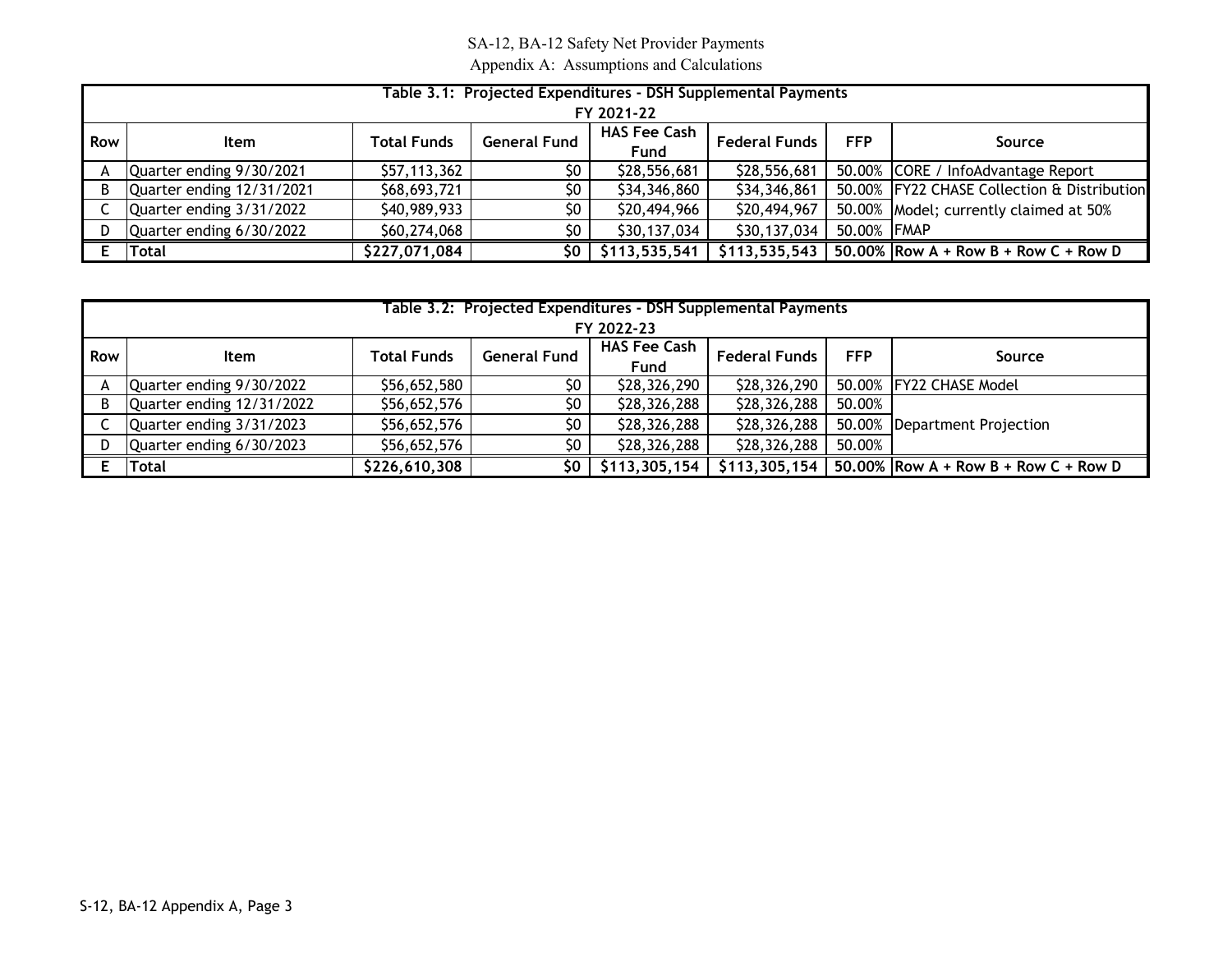#### SA-12, BA-12 Safety Net Provider Payments Appendix A: Assumptions and Calculations

|     | Table 3.1: Projected Expenditures - DSH Supplemental Payments<br>FY 2021-22 |                    |                     |                                    |                      |             |                                               |  |  |  |  |
|-----|-----------------------------------------------------------------------------|--------------------|---------------------|------------------------------------|----------------------|-------------|-----------------------------------------------|--|--|--|--|
| Row | Item                                                                        | <b>Total Funds</b> | <b>General Fund</b> | <b>HAS Fee Cash</b><br><b>Fund</b> | <b>Federal Funds</b> | <b>FFP</b>  | Source                                        |  |  |  |  |
|     | Quarter ending 9/30/2021                                                    | \$57,113,362       | \$0                 | \$28,556,681                       | \$28,556,681         |             | 50.00% CORE / InfoAdvantage Report            |  |  |  |  |
| B.  | Quarter ending 12/31/2021                                                   | \$68,693,721       | \$0                 | \$34,346,860                       | \$34,346,861         |             | 50.00%   FY22 CHASE Collection & Distribution |  |  |  |  |
|     | Quarter ending 3/31/2022                                                    | \$40,989,933       | \$0                 | \$20,494,966                       | \$20,494,967         |             | 50.00%   Model; currently claimed at 50%      |  |  |  |  |
|     | Quarter ending 6/30/2022                                                    | \$60,274,068       | \$0                 | \$30,137,034                       | \$30,137,034         | 50.00% FMAP |                                               |  |  |  |  |
|     | <b>Total</b>                                                                | \$227,071,084      | SO I                | \$113,535,541                      | \$113, 535, 543      |             | $50.00\%$ Row A + Row B + Row C + Row D       |  |  |  |  |

|            | Table 3.2: Projected Expenditures - DSH Supplemental Payments |                    |                     |                     |                      |            |                                         |  |  |  |  |
|------------|---------------------------------------------------------------|--------------------|---------------------|---------------------|----------------------|------------|-----------------------------------------|--|--|--|--|
| FY 2022-23 |                                                               |                    |                     |                     |                      |            |                                         |  |  |  |  |
| Row        |                                                               | <b>Total Funds</b> | <b>General Fund</b> | <b>HAS Fee Cash</b> | <b>Federal Funds</b> | <b>FFP</b> |                                         |  |  |  |  |
|            | ltem                                                          |                    |                     | <b>Fund</b>         |                      |            | Source                                  |  |  |  |  |
|            | Quarter ending 9/30/2022                                      | \$56,652,580       | \$0                 | \$28,326,290        | \$28,326,290         |            | 50.00% FY22 CHASE Model                 |  |  |  |  |
|            | Quarter ending 12/31/2022                                     | \$56,652,576       | \$0                 | \$28,326,288        | \$28,326,288         | 50.00%     |                                         |  |  |  |  |
|            | Quarter ending 3/31/2023                                      | \$56,652,576       | \$0                 | \$28,326,288        | \$28,326,288         |            | 50.00% Department Projection            |  |  |  |  |
|            | Quarter ending 6/30/2023                                      | \$56,652,576       | \$0                 | \$28,326,288        | \$28,326,288         | 50.00%     |                                         |  |  |  |  |
|            | <b>Total</b>                                                  | \$226,610,308      | \$0                 | \$113,305,154       | \$113,305,154        |            | $50.00\%$ Row A + Row B + Row C + Row D |  |  |  |  |